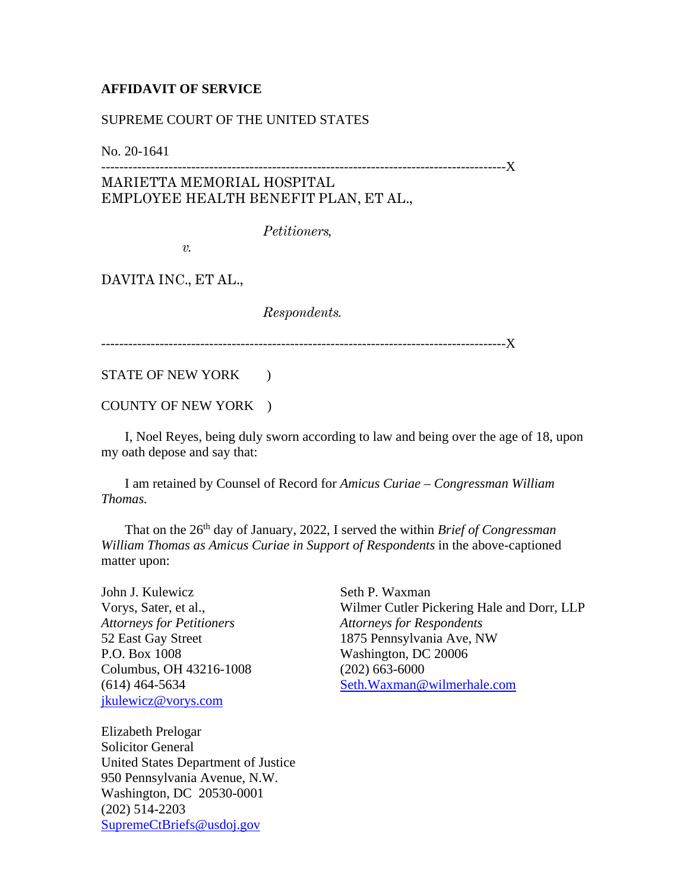## **AFFIDAVIT OF SERVICE**

## SUPREME COURT OF THE UNITED STATES

No. 20-1641

------------------------------------------------------------------------------------------X MARIETTA MEMORIAL HOSPITAL EMPLOYEE HEALTH BENEFIT PLAN, ET AL.,

*Petitioners,*

*v.*

DAVITA INC., ET AL.,

*Respondents.*

------------------------------------------------------------------------------------------X

STATE OF NEW YORK )

COUNTY OF NEW YORK )

 I, Noel Reyes, being duly sworn according to law and being over the age of 18, upon my oath depose and say that:

 I am retained by Counsel of Record for *Amicus Curiae – Congressman William Thomas.*

That on the 26<sup>th</sup> day of January, 2022, I served the within *Brief of Congressman William Thomas as Amicus Curiae in Support of Respondents* in the above-captioned matter upon:

John J. Kulewicz Vorys, Sater, et al., *Attorneys for Petitioners* 52 East Gay Street P.O. Box 1008 Columbus, OH 43216-1008 (614) 464-5634 [jkulewicz@vorys.com](mailto:jkulewicz@vorys.com)

Seth P. Waxman Wilmer Cutler Pickering Hale and Dorr, LLP *Attorneys for Respondents* 1875 Pennsylvania Ave, NW Washington, DC 20006 (202) 663-6000 [Seth.Waxman@wilmerhale.com](mailto:Seth.Waxman@wilmerhale.com)

Elizabeth Prelogar Solicitor General United States Department of Justice 950 Pennsylvania Avenue, N.W. Washington, DC 20530-0001 (202) 514-2203 [SupremeCtBriefs@usdoj.gov](mailto:SupremeCtBriefs@usdoj.gov)